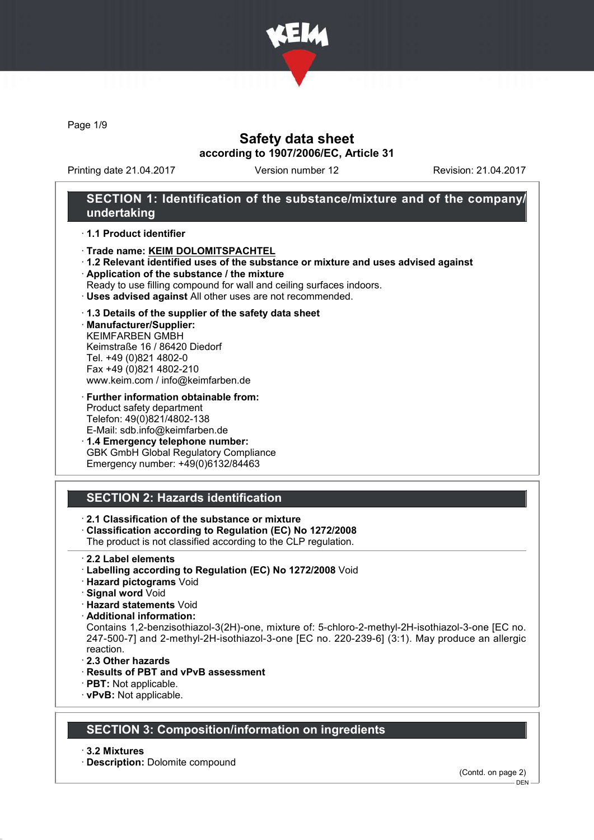

Page 1/9

# Safety data sheet according to 1907/2006/EC, Article 31

Printing date 21.04.2017 Version number 12 Revision: 21.04.2017

## SECTION 1: Identification of the substance/mixture and of the company/ undertaking

### · 1.1 Product identifier

- · Trade name: KEIM DOLOMITSPACHTEL
- · 1.2 Relevant identified uses of the substance or mixture and uses advised against
- · Application of the substance / the mixture
- Ready to use filling compound for wall and ceiling surfaces indoors.
- · Uses advised against All other uses are not recommended.

#### · 1.3 Details of the supplier of the safety data sheet

· Manufacturer/Supplier: KEIMFARBEN GMBH Keimstraße 16 / 86420 Diedorf Tel. +49 (0)821 4802-0 Fax +49 (0)821 4802-210 www.keim.com / info@keimfarben.de

· Further information obtainable from: Product safety department Telefon: 49(0)821/4802-138 E-Mail: sdb.info@keimfarben.de

· 1.4 Emergency telephone number: GBK GmbH Global Regulatory Compliance Emergency number: +49(0)6132/84463

# SECTION 2: Hazards identification

- · 2.1 Classification of the substance or mixture
- · Classification according to Regulation (EC) No 1272/2008
- The product is not classified according to the CLP regulation.
- · 2.2 Label elements
- · Labelling according to Regulation (EC) No 1272/2008 Void
- · Hazard pictograms Void
- · Signal word Void
- · Hazard statements Void
- · Additional information:

Contains 1,2-benzisothiazol-3(2H)-one, mixture of: 5-chloro-2-methyl-2H-isothiazol-3-one [EC no. 247-500-7] and 2-methyl-2H-isothiazol-3-one [EC no. 220-239-6] (3:1). May produce an allergic reaction.

- · 2.3 Other hazards
- · Results of PBT and vPvB assessment
- · PBT: Not applicable.
- · vPvB: Not applicable.

### SECTION 3: Composition/information on ingredients

· 3.2 Mixtures

· Description: Dolomite compound

(Contd. on page 2)

DEN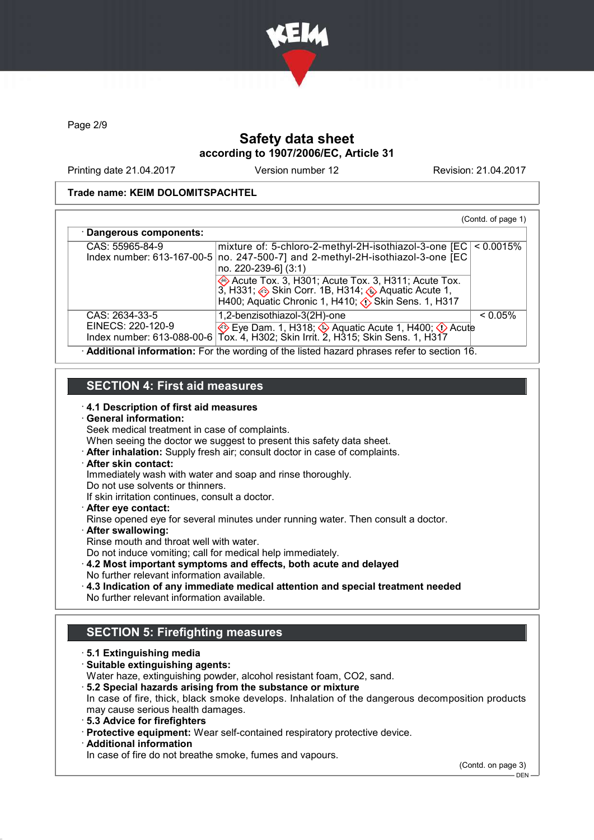

Page 2/9

# Safety data sheet according to 1907/2006/EC, Article 31

Printing date 21.04.2017 Version number 12 Revision: 21.04.2017

### Trade name: KEIM DOLOMITSPACHTEL

|                                               |                                                                                                                                                                                                                                                                                                        | (Contd. of page 1) |
|-----------------------------------------------|--------------------------------------------------------------------------------------------------------------------------------------------------------------------------------------------------------------------------------------------------------------------------------------------------------|--------------------|
| · Dangerous components:                       |                                                                                                                                                                                                                                                                                                        |                    |
| CAS: 55965-84-9<br>Index number: 613-167-00-5 | mixture of: 5-chloro-2-methyl-2H-isothiazol-3-one [EC]<br>no. 247-500-7] and 2-methyl-2H-isothiazol-3-one [EC<br>no. 220-239-6] (3:1)<br>Acute Tox. 3, H301; Acute Tox. 3, H311; Acute Tox.<br>3, H331; Skin Corr. 1B, H314; Aquatic Acute 1,<br>H400; Aquatic Chronic 1, H410; (1) Skin Sens. 1, H317 | < 0.0015%          |
| CAS: 2634-33-5<br>EINECS: 220-120-9           | 1,2-benzisothiazol-3(2H)-one<br>Eye Dam. 1, H318; Aquatic Acute 1, H400; O Acute<br>Index number: 613-088-00-6 Tox. 4, H302; Skin Irrit. 2, H315; Skin Sens. 1, H317                                                                                                                                   | $< 0.05\%$         |
|                                               | Additional information: For the wording of the listed hazard phrases refer to section 16.                                                                                                                                                                                                              |                    |

# SECTION 4: First aid measures

### · 4.1 Description of first aid measures

· General information: Seek medical treatment in case of complaints. When seeing the doctor we suggest to present this safety data sheet. · After inhalation: Supply fresh air; consult doctor in case of complaints. After skin contact: Immediately wash with water and soap and rinse thoroughly. Do not use solvents or thinners. If skin irritation continues, consult a doctor. · After eye contact: Rinse opened eye for several minutes under running water. Then consult a doctor. After swallowing: Rinse mouth and throat well with water. Do not induce vomiting; call for medical help immediately. · 4.2 Most important symptoms and effects, both acute and delayed

- No further relevant information available.
- · 4.3 Indication of any immediate medical attention and special treatment needed
- No further relevant information available.

# SECTION 5: Firefighting measures

- · 5.1 Extinguishing media
- · Suitable extinguishing agents:
- Water haze, extinguishing powder, alcohol resistant foam, CO2, sand.
- · 5.2 Special hazards arising from the substance or mixture In case of fire, thick, black smoke develops. Inhalation of the dangerous decomposition products may cause serious health damages.
- · 5.3 Advice for firefighters
- · Protective equipment: Wear self-contained respiratory protective device.
- · Additional information

In case of fire do not breathe smoke, fumes and vapours.

(Contd. on page 3)

 $-$  DEN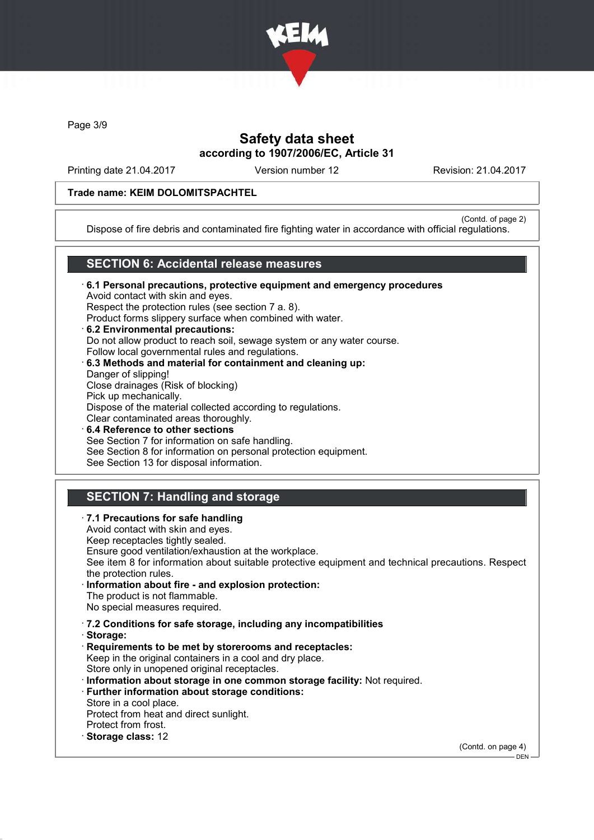

Page 3/9

# Safety data sheet according to 1907/2006/EC, Article 31

Printing date 21.04.2017 Version number 12 Revision: 21.04.2017

### Trade name: KEIM DOLOMITSPACHTEL

(Contd. of page 2)

Dispose of fire debris and contaminated fire fighting water in accordance with official regulations.

## SECTION 6: Accidental release measures

· 6.1 Personal precautions, protective equipment and emergency procedures Avoid contact with skin and eyes. Respect the protection rules (see section 7 a. 8). Product forms slippery surface when combined with water. · 6.2 Environmental precautions: Do not allow product to reach soil, sewage system or any water course. Follow local governmental rules and regulations. · 6.3 Methods and material for containment and cleaning up: Danger of slipping! Close drainages (Risk of blocking) Pick up mechanically. Dispose of the material collected according to regulations. Clear contaminated areas thoroughly. 6.4 Reference to other sections See Section 7 for information on safe handling. See Section 8 for information on personal protection equipment.

### See Section 13 for disposal information.

## SECTION 7: Handling and storage

· 7.1 Precautions for safe handling Avoid contact with skin and eyes. Keep receptacles tightly sealed. Ensure good ventilation/exhaustion at the workplace. See item 8 for information about suitable protective equipment and technical precautions. Respect the protection rules. Information about fire - and explosion protection: The product is not flammable. No special measures required. · 7.2 Conditions for safe storage, including any incompatibilities · Storage: · Requirements to be met by storerooms and receptacles: Keep in the original containers in a cool and dry place. Store only in unopened original receptacles. · Information about storage in one common storage facility: Not required. · Further information about storage conditions: Store in a cool place. Protect from heat and direct sunlight. Protect from frost. · Storage class: 12 (Contd. on page 4)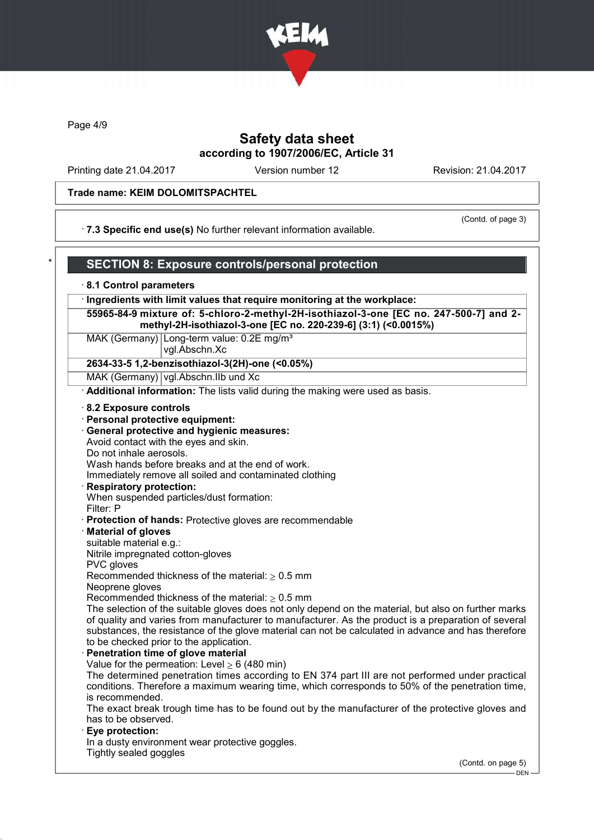

Page 4/9

# Safety data sheet according to 1907/2006/EC, Article 31

Printing date 21.04.2017 Version number 12 Revision: 21.04.2017

## Trade name: KEIM DOLOMITSPACHTEL

(Contd. of page 3)

· 7.3 Specific end use(s) No further relevant information available.

| 8.1 Control parameters                                                                                                                                   |                    |
|----------------------------------------------------------------------------------------------------------------------------------------------------------|--------------------|
|                                                                                                                                                          |                    |
| · Ingredients with limit values that require monitoring at the workplace:                                                                                |                    |
| 55965-84-9 mixture of: 5-chloro-2-methyl-2H-isothiazol-3-one [EC no. 247-500-7] and 2-<br>methyl-2H-isothiazol-3-one [EC no. 220-239-6] (3:1) (<0.0015%) |                    |
| MAK (Germany) Long-term value: 0.2E mg/m <sup>3</sup><br>vgl.Abschn.Xc                                                                                   |                    |
| 2634-33-5 1,2-benzisothiazol-3(2H)-one (<0.05%)                                                                                                          |                    |
| MAK (Germany) vgl.Abschn.IIb und Xc                                                                                                                      |                    |
| Additional information: The lists valid during the making were used as basis.                                                                            |                    |
| 8.2 Exposure controls                                                                                                                                    |                    |
| · Personal protective equipment:                                                                                                                         |                    |
| General protective and hygienic measures:                                                                                                                |                    |
| Avoid contact with the eyes and skin.                                                                                                                    |                    |
| Do not inhale aerosols.                                                                                                                                  |                    |
| Wash hands before breaks and at the end of work.                                                                                                         |                    |
| Immediately remove all soiled and contaminated clothing                                                                                                  |                    |
| <b>Respiratory protection:</b>                                                                                                                           |                    |
| When suspended particles/dust formation:                                                                                                                 |                    |
| Filter: P                                                                                                                                                |                    |
| Protection of hands: Protective gloves are recommendable                                                                                                 |                    |
| <b>Material of gloves</b>                                                                                                                                |                    |
| suitable material e.g.:                                                                                                                                  |                    |
| Nitrile impregnated cotton-gloves<br>PVC gloves                                                                                                          |                    |
| Recommended thickness of the material: $\geq 0.5$ mm                                                                                                     |                    |
| Neoprene gloves                                                                                                                                          |                    |
| Recommended thickness of the material: $\geq 0.5$ mm                                                                                                     |                    |
| The selection of the suitable gloves does not only depend on the material, but also on further marks                                                     |                    |
| of quality and varies from manufacturer to manufacturer. As the product is a preparation of several                                                      |                    |
| substances, the resistance of the glove material can not be calculated in advance and has therefore                                                      |                    |
| to be checked prior to the application.                                                                                                                  |                    |
| · Penetration time of glove material                                                                                                                     |                    |
| Value for the permeation: Level $\geq 6$ (480 min)                                                                                                       |                    |
| The determined penetration times according to EN 374 part III are not performed under practical                                                          |                    |
| conditions. Therefore a maximum wearing time, which corresponds to 50% of the penetration time,                                                          |                    |
| is recommended.                                                                                                                                          |                    |
| The exact break trough time has to be found out by the manufacturer of the protective gloves and<br>has to be observed.                                  |                    |
| Eye protection:                                                                                                                                          |                    |
| In a dusty environment wear protective goggles.                                                                                                          |                    |
| Tightly sealed goggles                                                                                                                                   |                    |
|                                                                                                                                                          | (Contd. on page 5) |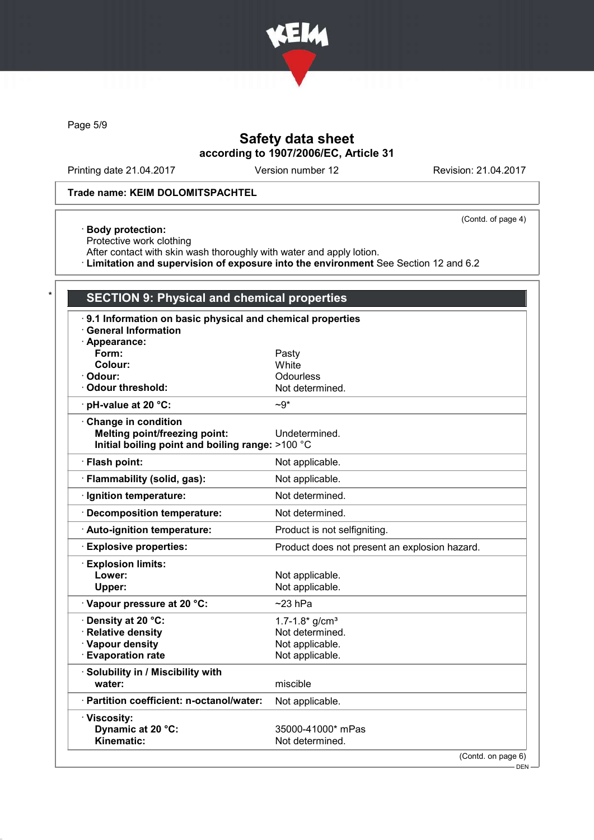

Page 5/9

# Safety data sheet according to 1907/2006/EC, Article 31

Printing date 21.04.2017 Version number 12 Revision: 21.04.2017

(Contd. of page 4)

#### Trade name: KEIM DOLOMITSPACHTEL

#### · Body protection:

Protective work clothing

After contact with skin wash thoroughly with water and apply lotion.

· Limitation and supervision of exposure into the environment See Section 12 and 6.2

# **SECTION 9: Physical and chemical properties** · 9.1 Information on basic physical and chemical properties · General Information · Appearance: Form: Pasty<br>Colour: Pasty Colour: Pasty Colour:<br>Odour: Odourless<br>Not determined.  $\cdot$  Odour threshold:  $\cdot$  pH-value at 20 °C:  $\sim$ 9\* · Change in condition Melting point/freezing point: Undetermined. Initial boiling point and boiling range: >100 °C · Flash point: Not applicable. · Flammability (solid, gas): Not applicable. · Ignition temperature: Not determined. · Decomposition temperature: Not determined. · Auto-ignition temperature: Product is not selfigniting. · Explosive properties: Product does not present an explosion hazard. · Explosion limits: Lower: Not applicable.<br>
Upper: Not applicable. Not applicable.  $\cdot$  Vapour pressure at 20 °C:  $\sim$  23 hPa  $\cdot$  Density at 20 °C:  $1.7-1.8*$  g/cm<sup>3</sup> · Relative density **Not determined.**  $\cdot$  Vapour density  $\cdot$  Not applicable.  $\cdot$  Evaporation rate  $\cdot$  Not applicable. · Solubility in / Miscibility with water: water: miscible · Partition coefficient: n-octanol/water: Not applicable. · Viscosity: Dynamic at 20 °C: 35000-41000\* mPas<br>
Kinematic: 35000-41000\* mPas Not determined.

(Contd. on page 6)

DEN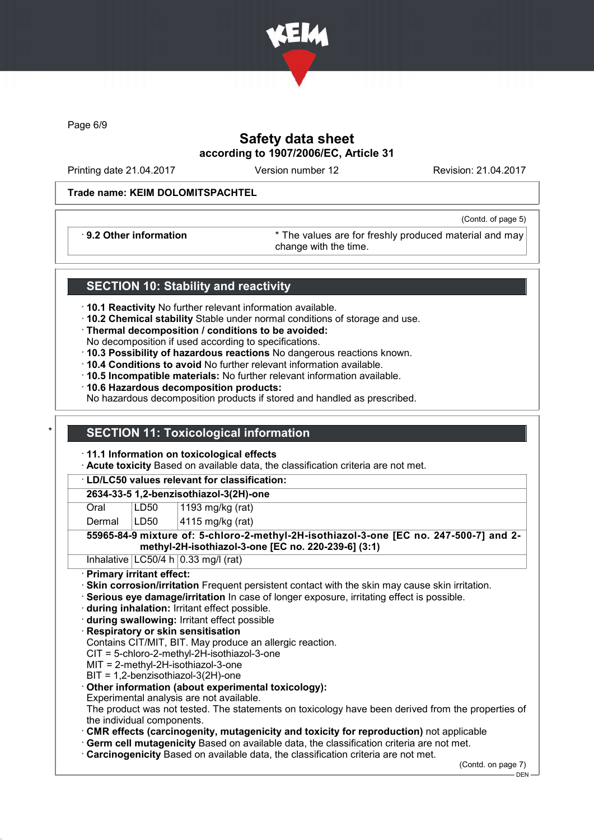

Page 6/9

# Safety data sheet according to 1907/2006/EC, Article 31

Printing date 21.04.2017 Version number 12 Revision: 21.04.2017

(Contd. of page 5)

### Trade name: KEIM DOLOMITSPACHTEL

· 9.2 Other information \* The values are for freshly produced material and may change with the time.

## SECTION 10: Stability and reactivity

- · 10.1 Reactivity No further relevant information available.
- · 10.2 Chemical stability Stable under normal conditions of storage and use.
- · Thermal decomposition / conditions to be avoided:
- No decomposition if used according to specifications.
- · 10.3 Possibility of hazardous reactions No dangerous reactions known.
- · 10.4 Conditions to avoid No further relevant information available.
- · 10.5 Incompatible materials: No further relevant information available.
- · 10.6 Hazardous decomposition products:
- No hazardous decomposition products if stored and handled as prescribed.

## **SECTION 11: Toxicological information**

- · 11.1 Information on toxicological effects
- · Acute toxicity Based on available data, the classification criteria are not met.

· LD/LC50 values relevant for classification:

### 2634-33-5 1,2-benzisothiazol-3(2H)-one

| Oral | LD50 | $\vert$ 1193 mg/kg (rat) |
|------|------|--------------------------|
|      |      |                          |

Dermal | LD50 | 4115 mg/kg (rat)

55965-84-9 mixture of: 5-chloro-2-methyl-2H-isothiazol-3-one [EC no. 247-500-7] and 2 methyl-2H-isothiazol-3-one [EC no. 220-239-6] (3:1)

Inhalative  $|LG50/4 h|0.33 mg/l$  (rat)

- · Primary irritant effect:
- · Skin corrosion/irritation Frequent persistent contact with the skin may cause skin irritation.
- · Serious eye damage/irritation In case of longer exposure, irritating effect is possible.
- · during inhalation: Irritant effect possible.
- · during swallowing: Irritant effect possible
- · Respiratory or skin sensitisation
- Contains CIT/MIT, BIT. May produce an allergic reaction.
- CIT = 5-chloro-2-methyl-2H-isothiazol-3-one
- MIT = 2-methyl-2H-isothiazol-3-one
- BIT = 1,2-benzisothiazol-3(2H)-one
- · Other information (about experimental toxicology):
- Experimental analysis are not available.

The product was not tested. The statements on toxicology have been derived from the properties of the individual components.

- · CMR effects (carcinogenity, mutagenicity and toxicity for reproduction) not applicable
- · Germ cell mutagenicity Based on available data, the classification criteria are not met.
- · Carcinogenicity Based on available data, the classification criteria are not met.

(Contd. on page 7)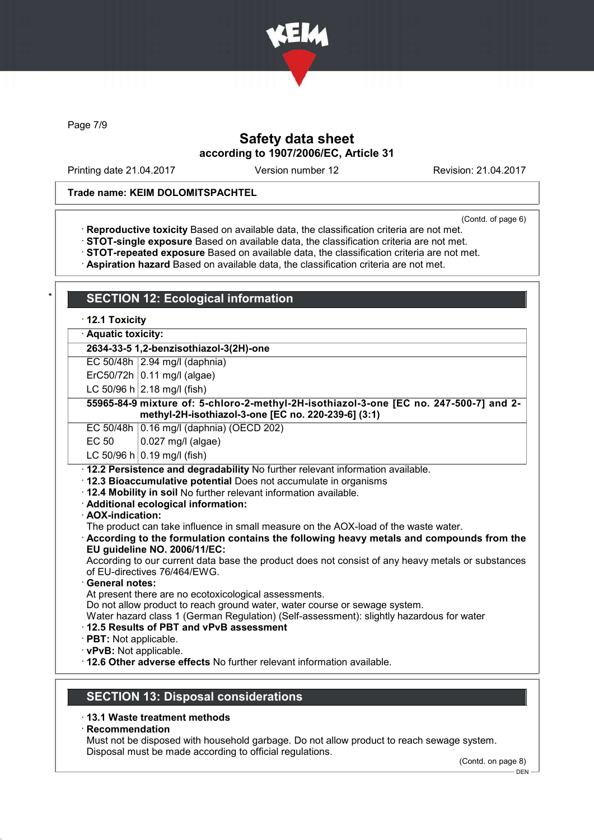

Page 7/9

# Safety data sheet according to 1907/2006/EC, Article 31

Printing date 21.04.2017 Version number 12 Revision: 21.04.2017

### Trade name: KEIM DOLOMITSPACHTEL

(Contd. of page 6)

- · Reproductive toxicity Based on available data, the classification criteria are not met.
- · STOT-single exposure Based on available data, the classification criteria are not met.
- · STOT-repeated exposure Based on available data, the classification criteria are not met.
- · Aspiration hazard Based on available data, the classification criteria are not met.

## **SECTION 12: Ecological information** · 12.1 Toxicity · Aquatic toxicity: 2634-33-5 1,2-benzisothiazol-3(2H)-one EC 50/48h 2.94 mg/l (daphnia) ErC50/72h  $\vert$  0.11 mg/l (algae) LC 50/96 h  $|2.18 \text{ mg/}1$  (fish) 55965-84-9 mixture of: 5-chloro-2-methyl-2H-isothiazol-3-one [EC no. 247-500-7] and 2 methyl-2H-isothiazol-3-one [EC no. 220-239-6] (3:1) EC 50/48h 0.16 mg/l (daphnia) (OECD 202) EC 50  $\big| 0.027 \text{ mg/l (algae)} \big|$ LC 50/96 h  $0.19$  mg/l (fish) · 12.2 Persistence and degradability No further relevant information available. · 12.3 Bioaccumulative potential Does not accumulate in organisms · 12.4 Mobility in soil No further relevant information available. · Additional ecological information: · AOX-indication: The product can take influence in small measure on the AOX-load of the waste water. · According to the formulation contains the following heavy metals and compounds from the EU guideline NO. 2006/11/EC: According to our current data base the product does not consist of any heavy metals or substances of EU-directives 76/464/EWG. General notes: At present there are no ecotoxicological assessments. Do not allow product to reach ground water, water course or sewage system. Water hazard class 1 (German Regulation) (Self-assessment): slightly hazardous for water · 12.5 Results of PBT and vPvB assessment · PBT: Not applicable. · vPvB: Not applicable. · 12.6 Other adverse effects No further relevant information available. SECTION 13: Disposal considerations

### · 13.1 Waste treatment methods

· Recommendation

Must not be disposed with household garbage. Do not allow product to reach sewage system. Disposal must be made according to official regulations.

(Contd. on page 8)

DEN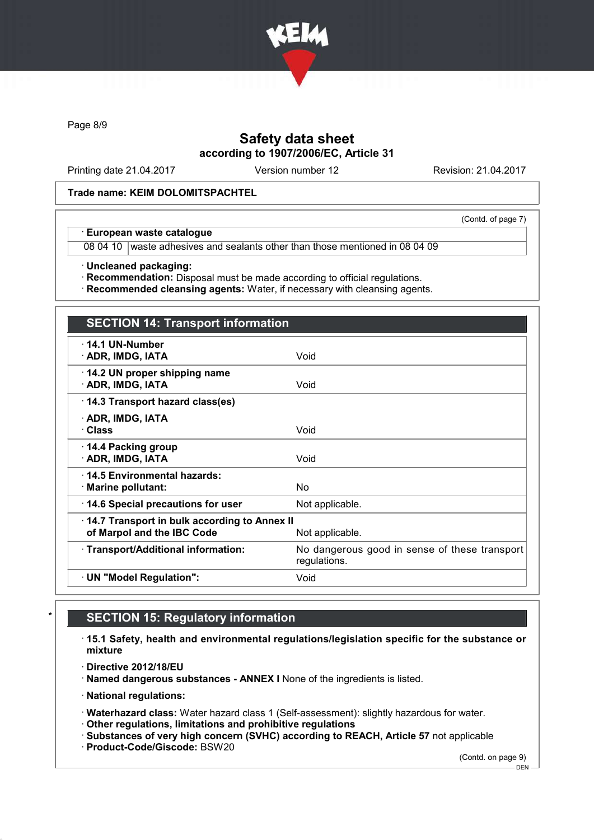

Page 8/9

# Safety data sheet according to 1907/2006/EC, Article 31

Printing date 21.04.2017 Version number 12 Revision: 21.04.2017

(Contd. of page 7)

### Trade name: KEIM DOLOMITSPACHTEL

### · European waste catalogue

08 04 10 waste adhesives and sealants other than those mentioned in 08 04 09

· Uncleaned packaging:

· Recommendation: Disposal must be made according to official regulations.

· Recommended cleansing agents: Water, if necessary with cleansing agents.

| <b>SECTION 14: Transport information</b>                                   |                                                               |
|----------------------------------------------------------------------------|---------------------------------------------------------------|
| $\cdot$ 14.1 UN-Number<br>· ADR, IMDG, IATA                                | Void                                                          |
| 14.2 UN proper shipping name<br>· ADR, IMDG, IATA                          | Void                                                          |
| 14.3 Transport hazard class(es)                                            |                                                               |
| · ADR, IMDG, IATA<br>· Class                                               | Void                                                          |
| 14.4 Packing group<br>· ADR, IMDG, IATA                                    | Void                                                          |
| ⋅14.5 Environmental hazards:<br>· Marine pollutant:                        | No.                                                           |
| 14.6 Special precautions for user                                          | Not applicable.                                               |
| 14.7 Transport in bulk according to Annex II<br>of Marpol and the IBC Code | Not applicable.                                               |
| · Transport/Additional information:                                        | No dangerous good in sense of these transport<br>regulations. |
| · UN "Model Regulation":                                                   | Void                                                          |
|                                                                            |                                                               |

# **SECTION 15: Regulatory information**

· 15.1 Safety, health and environmental regulations/legislation specific for the substance or mixture

· Directive 2012/18/EU

· Named dangerous substances - ANNEX I None of the ingredients is listed.

· National regulations:

· Waterhazard class: Water hazard class 1 (Self-assessment): slightly hazardous for water.

· Other regulations, limitations and prohibitive regulations

· Substances of very high concern (SVHC) according to REACH, Article 57 not applicable

· Product-Code/Giscode: BSW20

(Contd. on page 9)

DEN